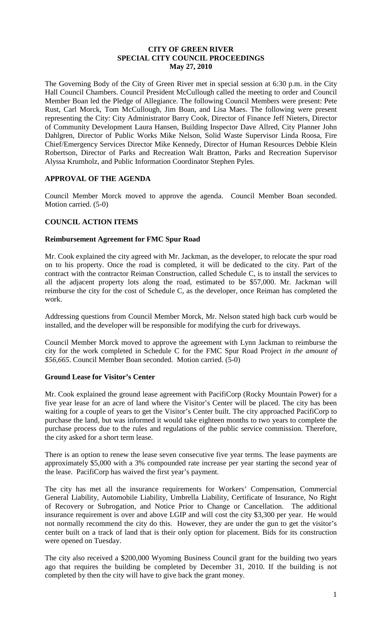### **CITY OF GREEN RIVER SPECIAL CITY COUNCIL PROCEEDINGS May 27, 2010**

The Governing Body of the City of Green River met in special session at 6:30 p.m. in the City Hall Council Chambers. Council President McCullough called the meeting to order and Council Member Boan led the Pledge of Allegiance. The following Council Members were present: Pete Rust, Carl Morck, Tom McCullough, Jim Boan, and Lisa Maes. The following were present representing the City: City Administrator Barry Cook, Director of Finance Jeff Nieters, Director of Community Development Laura Hansen, Building Inspector Dave Allred, City Planner John Dahlgren, Director of Public Works Mike Nelson, Solid Waste Supervisor Linda Roosa, Fire Chief/Emergency Services Director Mike Kennedy, Director of Human Resources Debbie Klein Robertson, Director of Parks and Recreation Walt Bratton, Parks and Recreation Supervisor Alyssa Krumholz, and Public Information Coordinator Stephen Pyles.

## **APPROVAL OF THE AGENDA**

Council Member Morck moved to approve the agenda. Council Member Boan seconded. Motion carried. (5-0)

## **COUNCIL ACTION ITEMS**

### **Reimbursement Agreement for FMC Spur Road**

Mr. Cook explained the city agreed with Mr. Jackman, as the developer, to relocate the spur road on to his property. Once the road is completed, it will be dedicated to the city. Part of the contract with the contractor Reiman Construction, called Schedule C, is to install the services to all the adjacent property lots along the road, estimated to be \$57,000. Mr. Jackman will reimburse the city for the cost of Schedule C, as the developer, once Reiman has completed the work.

Addressing questions from Council Member Morck, Mr. Nelson stated high back curb would be installed, and the developer will be responsible for modifying the curb for driveways.

Council Member Morck moved to approve the agreement with Lynn Jackman to reimburse the city for the work completed in Schedule C for the FMC Spur Road Project *in the amount of \$56,665*. Council Member Boan seconded. Motion carried. (5-0)

### **Ground Lease for Visitor's Center**

Mr. Cook explained the ground lease agreement with PacifiCorp (Rocky Mountain Power) for a five year lease for an acre of land where the Visitor's Center will be placed. The city has been waiting for a couple of years to get the Visitor's Center built. The city approached PacifiCorp to purchase the land, but was informed it would take eighteen months to two years to complete the purchase process due to the rules and regulations of the public service commission. Therefore, the city asked for a short term lease.

There is an option to renew the lease seven consecutive five year terms. The lease payments are approximately \$5,000 with a 3% compounded rate increase per year starting the second year of the lease. PacifiCorp has waived the first year's payment.

The city has met all the insurance requirements for Workers' Compensation, Commercial General Liability, Automobile Liability, Umbrella Liability, Certificate of Insurance, No Right of Recovery or Subrogation, and Notice Prior to Change or Cancellation. The additional insurance requirement is over and above LGIP and will cost the city \$3,300 per year. He would not normally recommend the city do this. However, they are under the gun to get the visitor's center built on a track of land that is their only option for placement. Bids for its construction were opened on Tuesday.

The city also received a \$200,000 Wyoming Business Council grant for the building two years ago that requires the building be completed by December 31, 2010. If the building is not completed by then the city will have to give back the grant money.